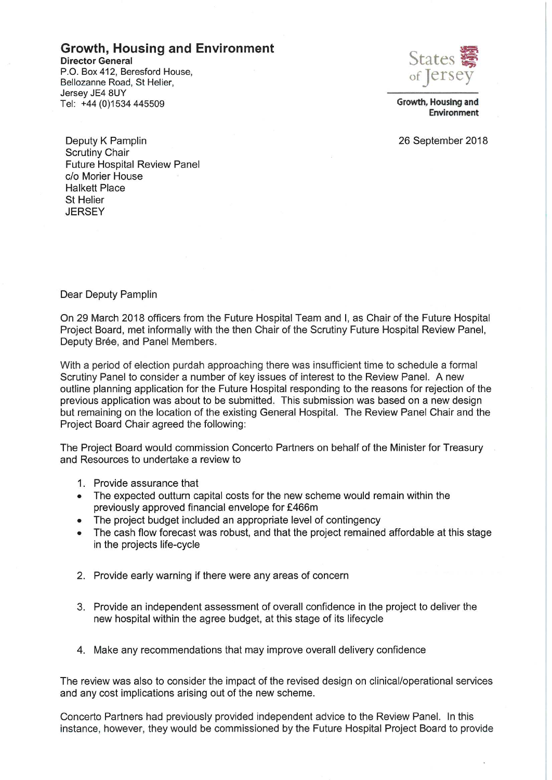## **Growth, Housing and Environment**

**Director General** P.O. Box 412. Beresford House. Bellozanne Road, St Helier, Jersey JE4 8UY Tel: +44 (0)1534 445509



Growth, Housing and Environment

26 September 2018

Deputy K Pamplin **Scrutiny Chair Future Hospital Review Panel** c/o Morier House **Halkett Place** St Helier **JFRSFY** 

#### Dear Deputy Pamplin

On 29 March 2018 officers from the Future Hospital Team and I, as Chair of the Future Hospital Project Board, met informally with the then Chair of the Scrutiny Future Hospital Review Panel, Deputy Brée, and Panel Members.

With a period of election purdah approaching there was insufficient time to schedule a formal Scrutiny Panel to consider a number of key issues of interest to the Review Panel. A new outline planning application for the Future Hospital responding to the reasons for rejection of the previous application was about to be submitted. This submission was based on a new design but remaining on the location of the existing General Hospital. The Review Panel Chair and the Project Board Chair agreed the following:

The Project Board would commission Concerto Partners on behalf of the Minister for Treasury and Resources to undertake a review to

- 1. Provide assurance that
- The expected outturn capital costs for the new scheme would remain within the  $\bullet$ previously approved financial envelope for £466m
- The project budget included an appropriate level of contingency
- The cash flow forecast was robust, and that the project remained affordable at this stage  $\bullet$ in the projects life-cycle
- 2. Provide early warning if there were any areas of concern
- 3. Provide an independent assessment of overall confidence in the project to deliver the new hospital within the agree budget, at this stage of its lifecycle
- 4. Make any recommendations that may improve overall delivery confidence

The review was also to consider the impact of the revised design on clinical/operational services and any cost implications arising out of the new scheme.

Concerto Partners had previously provided independent advice to the Review Panel. In this instance, however, they would be commissioned by the Future Hospital Project Board to provide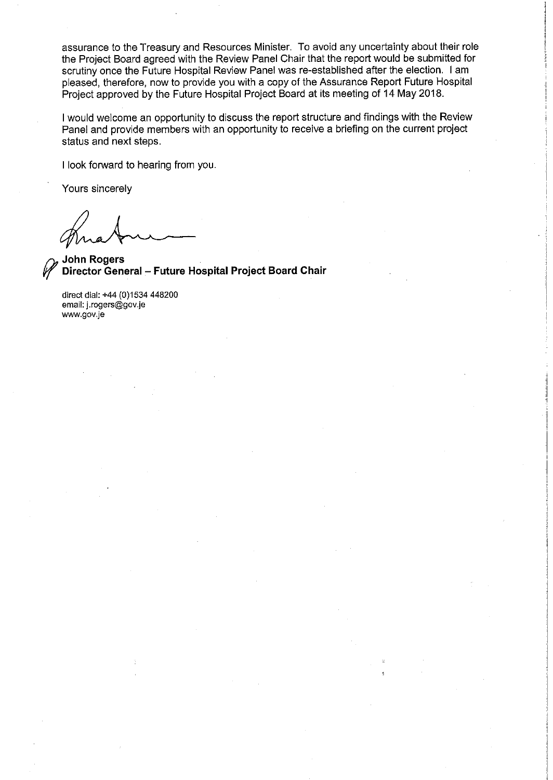assurance to the Treasury and Resources Minister. To avoid any uncertainty about their role the Project Board agreed with the Review Panel Chair that the report would be submitted for scrutiny once the Future Hospital Review Panel was re-established after the election. I am pleased, therefore, now to provide you with a copy of the Assurance Report Future Hospital Project approved by the Future Hospital Project Board at its meeting of 14 May 2018.

I would welcome an opportunity to discuss the report structure and findings with the Review Panel and provide members with an opportunity to receive a briefing on the current project status and next steps.

I look forward to hearing from you.

Yours sincerely

**John Rogers** Director General - Future Hospital Project Board Chair

direct dial: +44 (0)1534 448200 email: j.rogers@gov.je www.gov.je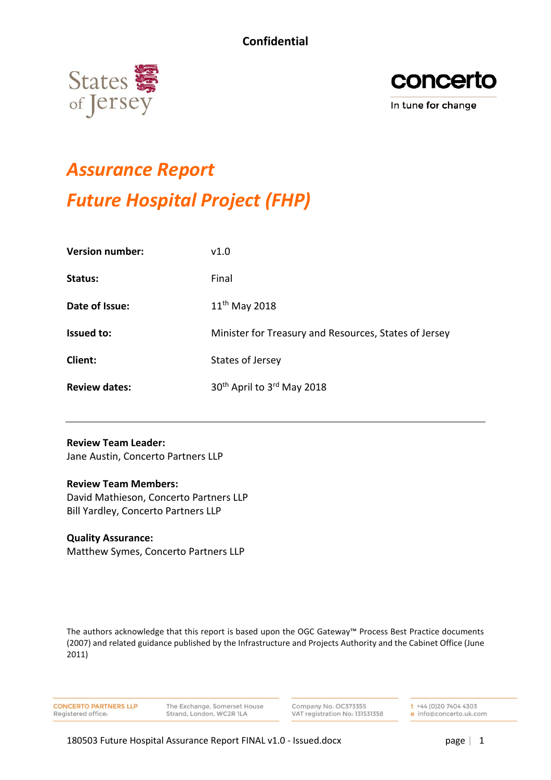



# *Assurance Report Future Hospital Project (FHP)*

| <b>Version number:</b> | v1.0                                                  |
|------------------------|-------------------------------------------------------|
| Status:                | Final                                                 |
| Date of Issue:         | $11th$ May 2018                                       |
| <b>Issued to:</b>      | Minister for Treasury and Resources, States of Jersey |
| Client:                | States of Jersey                                      |
| <b>Review dates:</b>   | 30 <sup>th</sup> April to 3 <sup>rd</sup> May 2018    |

#### **Review Team Leader:**

Jane Austin, Concerto Partners LLP

#### **Review Team Members:**

David Mathieson, Concerto Partners LLP Bill Yardley, Concerto Partners LLP

#### **Quality Assurance:**

Matthew Symes, Concerto Partners LLP

The authors acknowledge that this report is based upon the OGC Gateway™ Process Best Practice documents (2007) and related guidance published by the Infrastructure and Projects Authority and the Cabinet Office (June 2011)

**CONCERTO PARTNERS LLP** Registered office:

The Exchange, Somerset House Strand, London, WC2R ILA

Company No. OC373355 VAT registration No: 131531358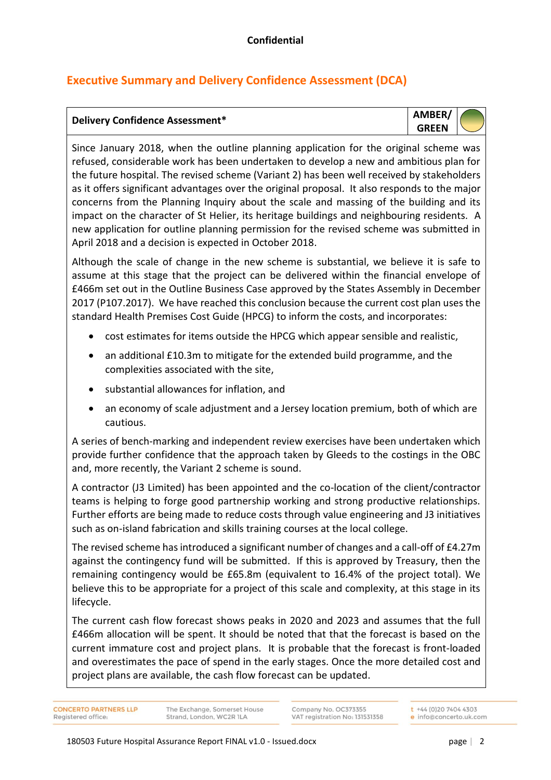# **Executive Summary and Delivery Confidence Assessment (DCA)**

# **Delivery Confidence Assessment\* AMBER/**



Since January 2018, when the outline planning application for the original scheme was refused, considerable work has been undertaken to develop a new and ambitious plan for the future hospital. The revised scheme (Variant 2) has been well received by stakeholders as it offers significant advantages over the original proposal. It also responds to the major concerns from the Planning Inquiry about the scale and massing of the building and its impact on the character of St Helier, its heritage buildings and neighbouring residents. A new application for outline planning permission for the revised scheme was submitted in April 2018 and a decision is expected in October 2018.

Although the scale of change in the new scheme is substantial, we believe it is safe to assume at this stage that the project can be delivered within the financial envelope of £466m set out in the Outline Business Case approved by the States Assembly in December 2017 (P107.2017). We have reached this conclusion because the current cost plan uses the standard Health Premises Cost Guide (HPCG) to inform the costs, and incorporates:

- cost estimates for items outside the HPCG which appear sensible and realistic,
- an additional £10.3m to mitigate for the extended build programme, and the complexities associated with the site,
- substantial allowances for inflation, and
- an economy of scale adjustment and a Jersey location premium, both of which are cautious.

A series of bench-marking and independent review exercises have been undertaken which provide further confidence that the approach taken by Gleeds to the costings in the OBC and, more recently, the Variant 2 scheme is sound.

A contractor (J3 Limited) has been appointed and the co-location of the client/contractor teams is helping to forge good partnership working and strong productive relationships. Further efforts are being made to reduce costs through value engineering and J3 initiatives such as on-island fabrication and skills training courses at the local college.

The revised scheme has introduced a significant number of changes and a call-off of £4.27m against the contingency fund will be submitted. If this is approved by Treasury, then the remaining contingency would be £65.8m (equivalent to 16.4% of the project total). We believe this to be appropriate for a project of this scale and complexity, at this stage in its lifecycle.

The current cash flow forecast shows peaks in 2020 and 2023 and assumes that the full £466m allocation will be spent. It should be noted that that the forecast is based on the current immature cost and project plans. It is probable that the forecast is front-loaded and overestimates the pace of spend in the early stages. Once the more detailed cost and project plans are available, the cash flow forecast can be updated.

**CONCERTO PARTNERS LLP** Registered office

The Exchange, Somerset House Strand, London, WC2R ILA

Company No. OC373355 VAT registration No: 131531358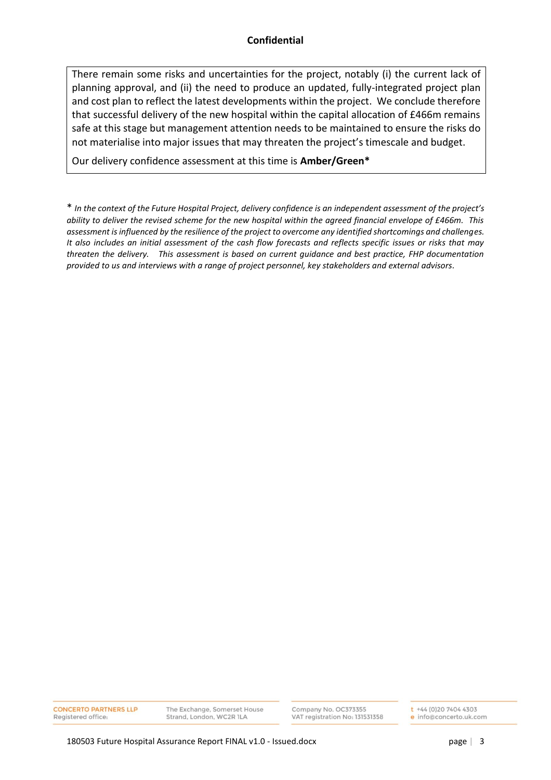There remain some risks and uncertainties for the project, notably (i) the current lack of planning approval, and (ii) the need to produce an updated, fully-integrated project plan and cost plan to reflect the latest developments within the project. We conclude therefore that successful delivery of the new hospital within the capital allocation of £466m remains safe at this stage but management attention needs to be maintained to ensure the risks do not materialise into major issues that may threaten the project's timescale and budget.

Our delivery confidence assessment at this time is **Amber/Green\***

\* *In the context of the Future Hospital Project, delivery confidence is an independent assessment of the project's ability to deliver the revised scheme for the new hospital within the agreed financial envelope of £466m. This assessment is influenced by the resilience of the project to overcome any identified shortcomings and challenges. It also includes an initial assessment of the cash flow forecasts and reflects specific issues or risks that may threaten the delivery. This assessment is based on current guidance and best practice, FHP documentation provided to us and interviews with a range of project personnel, key stakeholders and external advisors.*

**CONCERTO PARTNERS LLP** Registered office

The Exchange, Somerset House Strand, London, WC2R 1LA

Company No. OC373355 VAT registration No: 131531358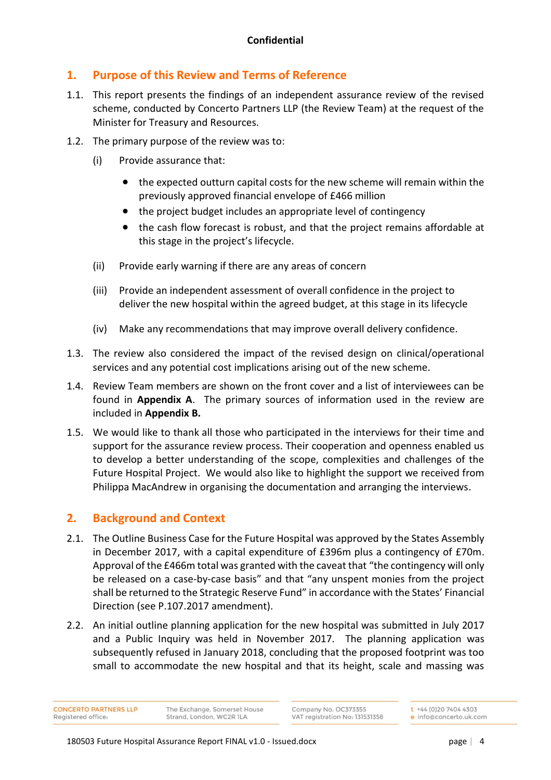## **1. Purpose of this Review and Terms of Reference**

- 1.1. This report presents the findings of an independent assurance review of the revised scheme, conducted by Concerto Partners LLP (the Review Team) at the request of the Minister for Treasury and Resources.
- 1.2. The primary purpose of the review was to:
	- (i) Provide assurance that:
		- the expected outturn capital costs for the new scheme will remain within the previously approved financial envelope of £466 million
		- the project budget includes an appropriate level of contingency
		- the cash flow forecast is robust, and that the project remains affordable at this stage in the project's lifecycle.
	- (ii) Provide early warning if there are any areas of concern
	- (iii) Provide an independent assessment of overall confidence in the project to deliver the new hospital within the agreed budget, at this stage in its lifecycle
	- (iv) Make any recommendations that may improve overall delivery confidence.
- 1.3. The review also considered the impact of the revised design on clinical/operational services and any potential cost implications arising out of the new scheme.
- 1.4. Review Team members are shown on the front cover and a list of interviewees can be found in **Appendix A**. The primary sources of information used in the review are included in **Appendix B.**
- 1.5. We would like to thank all those who participated in the interviews for their time and support for the assurance review process. Their cooperation and openness enabled us to develop a better understanding of the scope, complexities and challenges of the Future Hospital Project. We would also like to highlight the support we received from Philippa MacAndrew in organising the documentation and arranging the interviews.

## **2. Background and Context**

- 2.1. The Outline Business Case for the Future Hospital was approved by the States Assembly in December 2017, with a capital expenditure of £396m plus a contingency of £70m. Approval of the £466m total was granted with the caveat that "the contingency will only be released on a case-by-case basis" and that "any unspent monies from the project shall be returned to the Strategic Reserve Fund" in accordance with the States' Financial Direction (see P.107.2017 amendment).
- 2.2. An initial outline planning application for the new hospital was submitted in July 2017 and a Public Inquiry was held in November 2017. The planning application was subsequently refused in January 2018, concluding that the proposed footprint was too small to accommodate the new hospital and that its height, scale and massing was

**CONCERTO PARTNERS LLP** Registered office

The Exchange, Somerset House Strand, London, WC2R 1LA

Company No. OC373355 VAT registration No: 131531358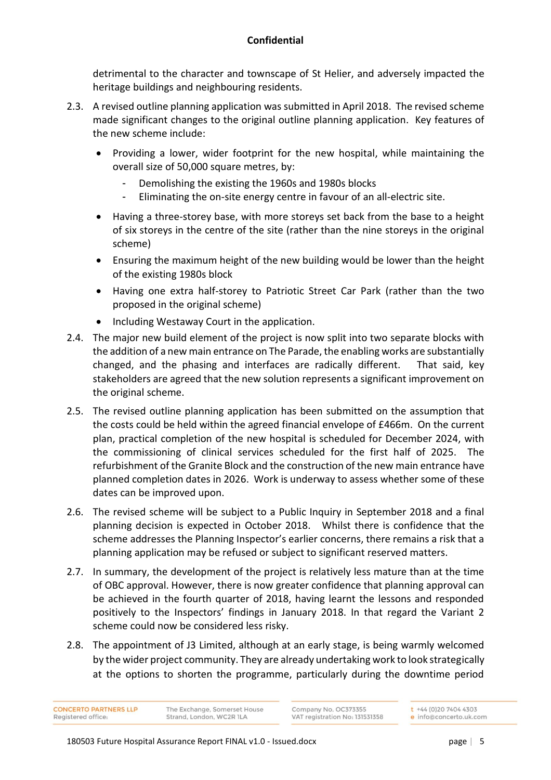detrimental to the character and townscape of St Helier, and adversely impacted the heritage buildings and neighbouring residents.

- 2.3. A revised outline planning application was submitted in April 2018. The revised scheme made significant changes to the original outline planning application. Key features of the new scheme include:
	- Providing a lower, wider footprint for the new hospital, while maintaining the overall size of 50,000 square metres, by:
		- Demolishing the existing the 1960s and 1980s blocks
		- Eliminating the on-site energy centre in favour of an all-electric site.
	- Having a three-storey base, with more storeys set back from the base to a height of six storeys in the centre of the site (rather than the nine storeys in the original scheme)
	- Ensuring the maximum height of the new building would be lower than the height of the existing 1980s block
	- Having one extra half-storey to Patriotic Street Car Park (rather than the two proposed in the original scheme)
		- Including Westaway Court in the application.
- 2.4. The major new build element of the project is now split into two separate blocks with the addition of a new main entrance on The Parade, the enabling works are substantially changed, and the phasing and interfaces are radically different. That said, key stakeholders are agreed that the new solution represents a significant improvement on the original scheme.
- 2.5. The revised outline planning application has been submitted on the assumption that the costs could be held within the agreed financial envelope of £466m. On the current plan, practical completion of the new hospital is scheduled for December 2024, with the commissioning of clinical services scheduled for the first half of 2025. The refurbishment of the Granite Block and the construction of the new main entrance have planned completion dates in 2026. Work is underway to assess whether some of these dates can be improved upon.
- 2.6. The revised scheme will be subject to a Public Inquiry in September 2018 and a final planning decision is expected in October 2018. Whilst there is confidence that the scheme addresses the Planning Inspector's earlier concerns, there remains a risk that a planning application may be refused or subject to significant reserved matters.
- 2.7. In summary, the development of the project is relatively less mature than at the time of OBC approval. However, there is now greater confidence that planning approval can be achieved in the fourth quarter of 2018, having learnt the lessons and responded positively to the Inspectors' findings in January 2018. In that regard the Variant 2 scheme could now be considered less risky.
- 2.8. The appointment of J3 Limited, although at an early stage, is being warmly welcomed by the wider project community. They are already undertaking work to look strategically at the options to shorten the programme, particularly during the downtime period

**CONCERTO PARTNERS LLP** Registered office: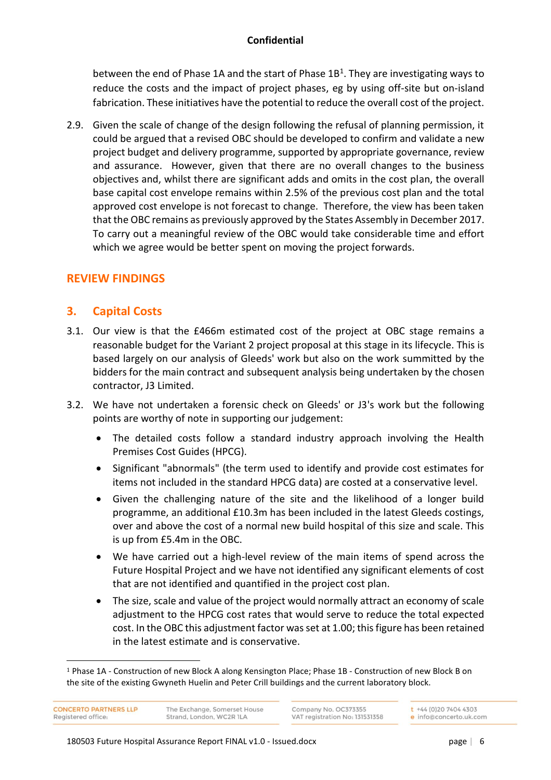between the end of Phase 1A and the start of Phase 1B<sup>1</sup>. They are investigating ways to reduce the costs and the impact of project phases, eg by using off-site but on-island fabrication. These initiatives have the potential to reduce the overall cost of the project.

2.9. Given the scale of change of the design following the refusal of planning permission, it could be argued that a revised OBC should be developed to confirm and validate a new project budget and delivery programme, supported by appropriate governance, review and assurance. However, given that there are no overall changes to the business objectives and, whilst there are significant adds and omits in the cost plan, the overall base capital cost envelope remains within 2.5% of the previous cost plan and the total approved cost envelope is not forecast to change. Therefore, the view has been taken that the OBC remains as previously approved by the States Assembly in December 2017. To carry out a meaningful review of the OBC would take considerable time and effort which we agree would be better spent on moving the project forwards.

## **REVIEW FINDINGS**

## **3. Capital Costs**

- 3.1. Our view is that the £466m estimated cost of the project at OBC stage remains a reasonable budget for the Variant 2 project proposal at this stage in its lifecycle. This is based largely on our analysis of Gleeds' work but also on the work summitted by the bidders for the main contract and subsequent analysis being undertaken by the chosen contractor, J3 Limited.
- 3.2. We have not undertaken a forensic check on Gleeds' or J3's work but the following points are worthy of note in supporting our judgement:
	- The detailed costs follow a standard industry approach involving the Health Premises Cost Guides (HPCG).
	- Significant "abnormals" (the term used to identify and provide cost estimates for items not included in the standard HPCG data) are costed at a conservative level.
	- Given the challenging nature of the site and the likelihood of a longer build programme, an additional £10.3m has been included in the latest Gleeds costings, over and above the cost of a normal new build hospital of this size and scale. This is up from £5.4m in the OBC.
	- We have carried out a high-level review of the main items of spend across the Future Hospital Project and we have not identified any significant elements of cost that are not identified and quantified in the project cost plan.
	- The size, scale and value of the project would normally attract an economy of scale adjustment to the HPCG cost rates that would serve to reduce the total expected cost. In the OBC this adjustment factor was set at 1.00; thisfigure has been retained in the latest estimate and is conservative.

**CONCERTO PARTNERS LLP** Registered office

 $\overline{a}$ 

Company No. OC373355 VAT registration No: 131531358

<sup>1</sup> Phase 1A - Construction of new Block A along Kensington Place; Phase 1B - Construction of new Block B on the site of the existing Gwyneth Huelin and Peter Crill buildings and the current laboratory block.

The Exchange, Somerset House Strand, London, WC2R 1LA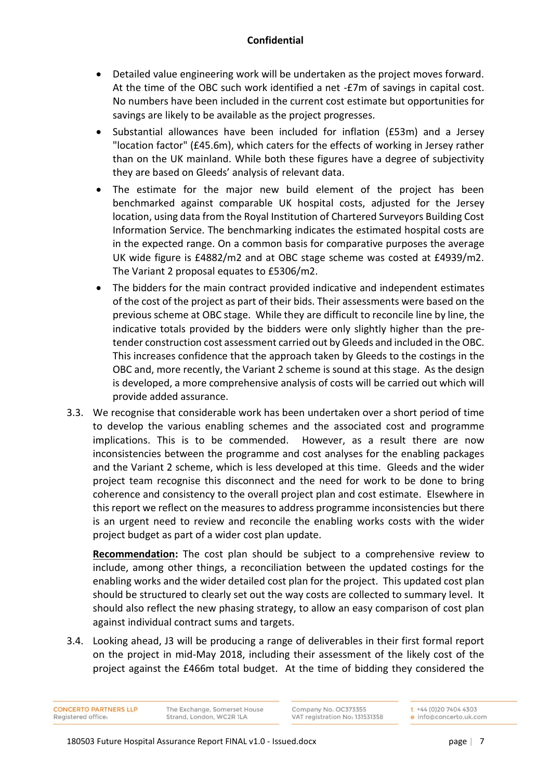- Detailed value engineering work will be undertaken as the project moves forward. At the time of the OBC such work identified a net -£7m of savings in capital cost. No numbers have been included in the current cost estimate but opportunities for savings are likely to be available as the project progresses.
- Substantial allowances have been included for inflation (£53m) and a Jersey "location factor" (£45.6m), which caters for the effects of working in Jersey rather than on the UK mainland. While both these figures have a degree of subjectivity they are based on Gleeds' analysis of relevant data.
- The estimate for the major new build element of the project has been benchmarked against comparable UK hospital costs, adjusted for the Jersey location, using data from the Royal Institution of Chartered Surveyors Building Cost Information Service. The benchmarking indicates the estimated hospital costs are in the expected range. On a common basis for comparative purposes the average UK wide figure is £4882/m2 and at OBC stage scheme was costed at £4939/m2. The Variant 2 proposal equates to £5306/m2.
- The bidders for the main contract provided indicative and independent estimates of the cost of the project as part of their bids. Their assessments were based on the previous scheme at OBC stage. While they are difficult to reconcile line by line, the indicative totals provided by the bidders were only slightly higher than the pretender construction cost assessment carried out by Gleeds and included in the OBC. This increases confidence that the approach taken by Gleeds to the costings in the OBC and, more recently, the Variant 2 scheme is sound at this stage. As the design is developed, a more comprehensive analysis of costs will be carried out which will provide added assurance.
- 3.3. We recognise that considerable work has been undertaken over a short period of time to develop the various enabling schemes and the associated cost and programme implications. This is to be commended. However, as a result there are now inconsistencies between the programme and cost analyses for the enabling packages and the Variant 2 scheme, which is less developed at this time. Gleeds and the wider project team recognise this disconnect and the need for work to be done to bring coherence and consistency to the overall project plan and cost estimate. Elsewhere in this report we reflect on the measures to address programme inconsistencies but there is an urgent need to review and reconcile the enabling works costs with the wider project budget as part of a wider cost plan update.

**Recommendation:** The cost plan should be subject to a comprehensive review to include, among other things, a reconciliation between the updated costings for the enabling works and the wider detailed cost plan for the project. This updated cost plan should be structured to clearly set out the way costs are collected to summary level. It should also reflect the new phasing strategy, to allow an easy comparison of cost plan against individual contract sums and targets.

3.4. Looking ahead, J3 will be producing a range of deliverables in their first formal report on the project in mid-May 2018, including their assessment of the likely cost of the project against the £466m total budget. At the time of bidding they considered the

**CONCERTO PARTNERS LLP** Registered office

The Exchange, Somerset House Strand, London, WC2R 1LA

Company No. OC373355 VAT registration No: 131531358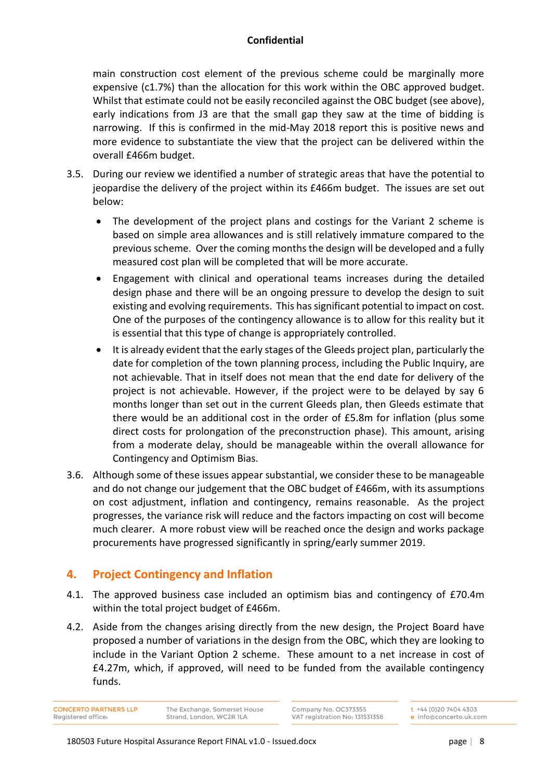main construction cost element of the previous scheme could be marginally more expensive (c1.7%) than the allocation for this work within the OBC approved budget. Whilst that estimate could not be easily reconciled against the OBC budget (see above), early indications from J3 are that the small gap they saw at the time of bidding is narrowing. If this is confirmed in the mid-May 2018 report this is positive news and more evidence to substantiate the view that the project can be delivered within the overall £466m budget.

- 3.5. During our review we identified a number of strategic areas that have the potential to jeopardise the delivery of the project within its £466m budget. The issues are set out below:
	- The development of the project plans and costings for the Variant 2 scheme is based on simple area allowances and is still relatively immature compared to the previous scheme. Over the coming months the design will be developed and a fully measured cost plan will be completed that will be more accurate.
	- Engagement with clinical and operational teams increases during the detailed design phase and there will be an ongoing pressure to develop the design to suit existing and evolving requirements. This has significant potential to impact on cost. One of the purposes of the contingency allowance is to allow for this reality but it is essential that this type of change is appropriately controlled.
	- It is already evident that the early stages of the Gleeds project plan, particularly the date for completion of the town planning process, including the Public Inquiry, are not achievable. That in itself does not mean that the end date for delivery of the project is not achievable. However, if the project were to be delayed by say 6 months longer than set out in the current Gleeds plan, then Gleeds estimate that there would be an additional cost in the order of £5.8m for inflation (plus some direct costs for prolongation of the preconstruction phase). This amount, arising from a moderate delay, should be manageable within the overall allowance for Contingency and Optimism Bias.
- 3.6. Although some of these issues appear substantial, we consider these to be manageable and do not change our judgement that the OBC budget of £466m, with its assumptions on cost adjustment, inflation and contingency, remains reasonable. As the project progresses, the variance risk will reduce and the factors impacting on cost will become much clearer. A more robust view will be reached once the design and works package procurements have progressed significantly in spring/early summer 2019.

## **4. Project Contingency and Inflation**

- 4.1. The approved business case included an optimism bias and contingency of £70.4m within the total project budget of £466m.
- 4.2. Aside from the changes arising directly from the new design, the Project Board have proposed a number of variations in the design from the OBC, which they are looking to include in the Variant Option 2 scheme. These amount to a net increase in cost of £4.27m, which, if approved, will need to be funded from the available contingency funds.

**CONCERTO PARTNERS LLP** Strand, London, WC2R 1LA Registered office

The Exchange, Somerset House

Company No. OC373355 VAT registration No: 131531358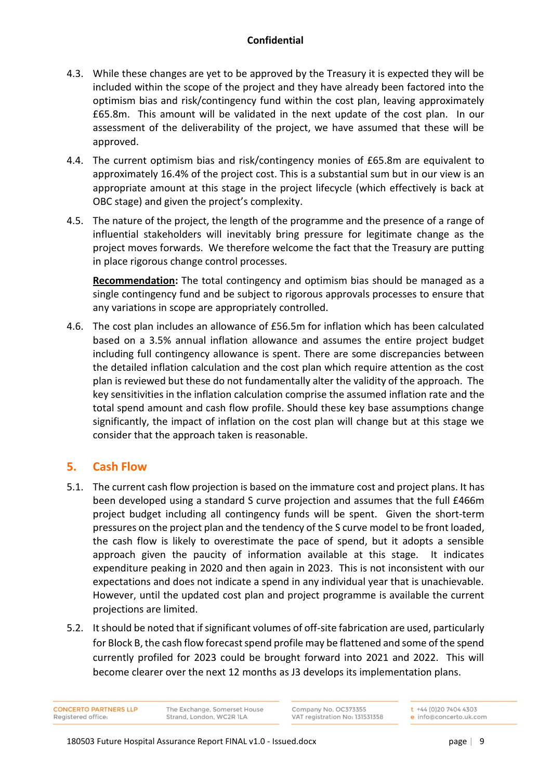- 4.3. While these changes are yet to be approved by the Treasury it is expected they will be included within the scope of the project and they have already been factored into the optimism bias and risk/contingency fund within the cost plan, leaving approximately £65.8m. This amount will be validated in the next update of the cost plan. In our assessment of the deliverability of the project, we have assumed that these will be approved.
- 4.4. The current optimism bias and risk/contingency monies of £65.8m are equivalent to approximately 16.4% of the project cost. This is a substantial sum but in our view is an appropriate amount at this stage in the project lifecycle (which effectively is back at OBC stage) and given the project's complexity.
- 4.5. The nature of the project, the length of the programme and the presence of a range of influential stakeholders will inevitably bring pressure for legitimate change as the project moves forwards. We therefore welcome the fact that the Treasury are putting in place rigorous change control processes.

**Recommendation:** The total contingency and optimism bias should be managed as a single contingency fund and be subject to rigorous approvals processes to ensure that any variations in scope are appropriately controlled.

4.6. The cost plan includes an allowance of £56.5m for inflation which has been calculated based on a 3.5% annual inflation allowance and assumes the entire project budget including full contingency allowance is spent. There are some discrepancies between the detailed inflation calculation and the cost plan which require attention as the cost plan is reviewed but these do not fundamentally alter the validity of the approach. The key sensitivities in the inflation calculation comprise the assumed inflation rate and the total spend amount and cash flow profile. Should these key base assumptions change significantly, the impact of inflation on the cost plan will change but at this stage we consider that the approach taken is reasonable.

## **5. Cash Flow**

- 5.1. The current cash flow projection is based on the immature cost and project plans. It has been developed using a standard S curve projection and assumes that the full £466m project budget including all contingency funds will be spent. Given the short-term pressures on the project plan and the tendency of the S curve model to be front loaded, the cash flow is likely to overestimate the pace of spend, but it adopts a sensible approach given the paucity of information available at this stage. It indicates expenditure peaking in 2020 and then again in 2023. This is not inconsistent with our expectations and does not indicate a spend in any individual year that is unachievable. However, until the updated cost plan and project programme is available the current projections are limited.
- 5.2. It should be noted that if significant volumes of off-site fabrication are used, particularly for Block B, the cash flow forecast spend profile may be flattened and some of the spend currently profiled for 2023 could be brought forward into 2021 and 2022. This will become clearer over the next 12 months as J3 develops its implementation plans.

**CONCERTO PARTNERS LLP** Registered office

The Exchange, Somerset House Strand, London, WC2R ILA

Company No. OC373355 VAT registration No: 131531358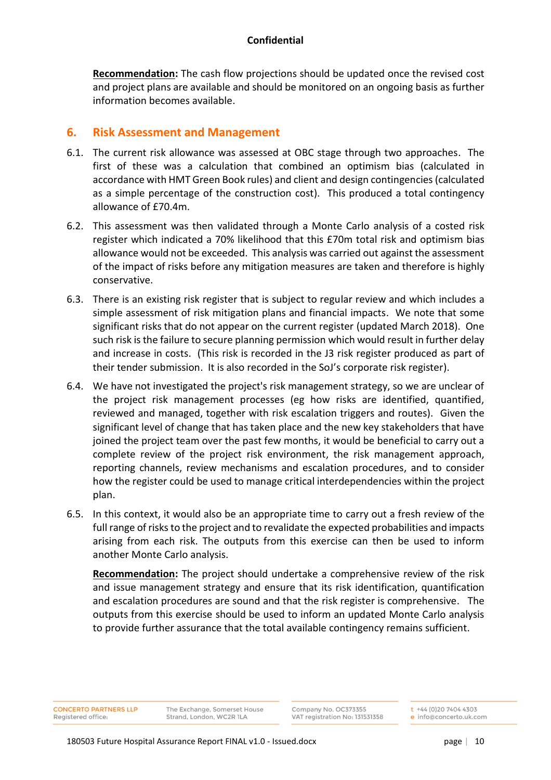**Recommendation:** The cash flow projections should be updated once the revised cost and project plans are available and should be monitored on an ongoing basis as further information becomes available.

## **6. Risk Assessment and Management**

- 6.1. The current risk allowance was assessed at OBC stage through two approaches. The first of these was a calculation that combined an optimism bias (calculated in accordance with HMT Green Book rules) and client and design contingencies (calculated as a simple percentage of the construction cost). This produced a total contingency allowance of £70.4m.
- 6.2. This assessment was then validated through a Monte Carlo analysis of a costed risk register which indicated a 70% likelihood that this £70m total risk and optimism bias allowance would not be exceeded. This analysis was carried out against the assessment of the impact of risks before any mitigation measures are taken and therefore is highly conservative.
- 6.3. There is an existing risk register that is subject to regular review and which includes a simple assessment of risk mitigation plans and financial impacts. We note that some significant risks that do not appear on the current register (updated March 2018). One such risk is the failure to secure planning permission which would result in further delay and increase in costs. (This risk is recorded in the J3 risk register produced as part of their tender submission. It is also recorded in the SoJ's corporate risk register).
- 6.4. We have not investigated the project's risk management strategy, so we are unclear of the project risk management processes (eg how risks are identified, quantified, reviewed and managed, together with risk escalation triggers and routes). Given the significant level of change that has taken place and the new key stakeholders that have joined the project team over the past few months, it would be beneficial to carry out a complete review of the project risk environment, the risk management approach, reporting channels, review mechanisms and escalation procedures, and to consider how the register could be used to manage critical interdependencies within the project plan.
- 6.5. In this context, it would also be an appropriate time to carry out a fresh review of the full range of risks to the project and to revalidate the expected probabilities and impacts arising from each risk. The outputs from this exercise can then be used to inform another Monte Carlo analysis.

**Recommendation:** The project should undertake a comprehensive review of the risk and issue management strategy and ensure that its risk identification, quantification and escalation procedures are sound and that the risk register is comprehensive. The outputs from this exercise should be used to inform an updated Monte Carlo analysis to provide further assurance that the total available contingency remains sufficient.

**CONCERTO PARTNERS LLP** Registered office

The Exchange, Somerset House Strand, London, WC2R 1LA

Company No. OC373355 VAT registration No: 131531358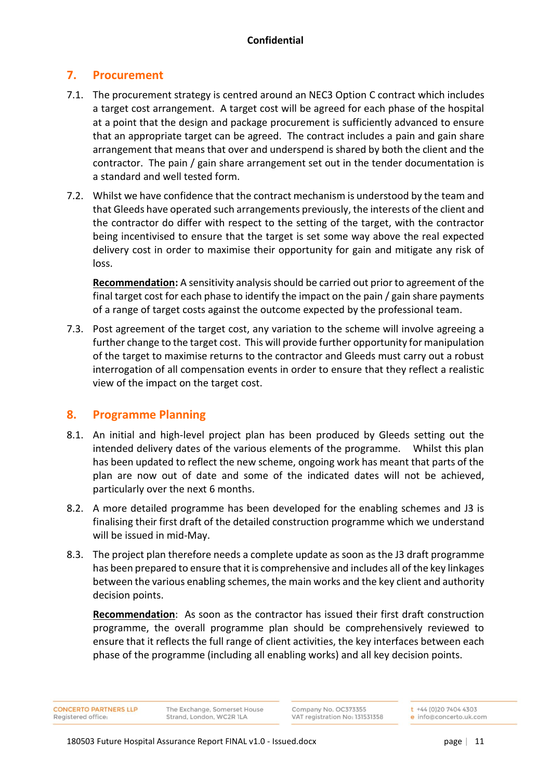## **7. Procurement**

- 7.1. The procurement strategy is centred around an NEC3 Option C contract which includes a target cost arrangement. A target cost will be agreed for each phase of the hospital at a point that the design and package procurement is sufficiently advanced to ensure that an appropriate target can be agreed. The contract includes a pain and gain share arrangement that means that over and underspend is shared by both the client and the contractor. The pain / gain share arrangement set out in the tender documentation is a standard and well tested form.
- 7.2. Whilst we have confidence that the contract mechanism is understood by the team and that Gleeds have operated such arrangements previously, the interests of the client and the contractor do differ with respect to the setting of the target, with the contractor being incentivised to ensure that the target is set some way above the real expected delivery cost in order to maximise their opportunity for gain and mitigate any risk of loss.

**Recommendation:** A sensitivity analysis should be carried out prior to agreement of the final target cost for each phase to identify the impact on the pain / gain share payments of a range of target costs against the outcome expected by the professional team.

7.3. Post agreement of the target cost, any variation to the scheme will involve agreeing a further change to the target cost. This will provide further opportunity for manipulation of the target to maximise returns to the contractor and Gleeds must carry out a robust interrogation of all compensation events in order to ensure that they reflect a realistic view of the impact on the target cost.

## **8. Programme Planning**

- 8.1. An initial and high-level project plan has been produced by Gleeds setting out the intended delivery dates of the various elements of the programme. Whilst this plan has been updated to reflect the new scheme, ongoing work has meant that parts of the plan are now out of date and some of the indicated dates will not be achieved, particularly over the next 6 months.
- 8.2. A more detailed programme has been developed for the enabling schemes and J3 is finalising their first draft of the detailed construction programme which we understand will be issued in mid-May.
- 8.3. The project plan therefore needs a complete update as soon as the J3 draft programme has been prepared to ensure that it is comprehensive and includes all of the key linkages between the various enabling schemes, the main works and the key client and authority decision points.

**Recommendation**: As soon as the contractor has issued their first draft construction programme, the overall programme plan should be comprehensively reviewed to ensure that it reflects the full range of client activities, the key interfaces between each phase of the programme (including all enabling works) and all key decision points.

**CONCERTO PARTNERS LLP** Registered office

The Exchange, Somerset House Strand, London, WC2R 1LA

Company No. OC373355 VAT registration No: 131531358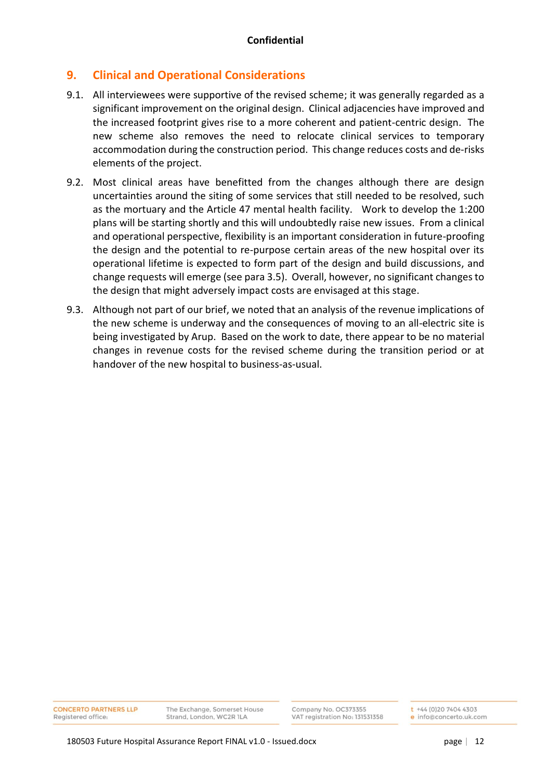# **9. Clinical and Operational Considerations**

- 9.1. All interviewees were supportive of the revised scheme; it was generally regarded as a significant improvement on the original design. Clinical adjacencies have improved and the increased footprint gives rise to a more coherent and patient-centric design. The new scheme also removes the need to relocate clinical services to temporary accommodation during the construction period. This change reduces costs and de-risks elements of the project.
- 9.2. Most clinical areas have benefitted from the changes although there are design uncertainties around the siting of some services that still needed to be resolved, such as the mortuary and the Article 47 mental health facility. Work to develop the 1:200 plans will be starting shortly and this will undoubtedly raise new issues. From a clinical and operational perspective, flexibility is an important consideration in future-proofing the design and the potential to re-purpose certain areas of the new hospital over its operational lifetime is expected to form part of the design and build discussions, and change requests will emerge (see para 3.5). Overall, however, no significant changes to the design that might adversely impact costs are envisaged at this stage.
- 9.3. Although not part of our brief, we noted that an analysis of the revenue implications of the new scheme is underway and the consequences of moving to an all-electric site is being investigated by Arup. Based on the work to date, there appear to be no material changes in revenue costs for the revised scheme during the transition period or at handover of the new hospital to business-as-usual.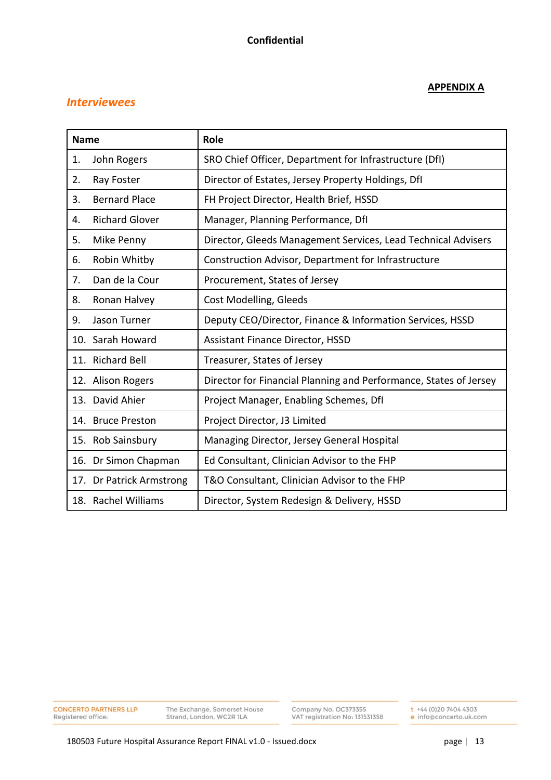## *Interviewees*

## **APPENDIX A**

| <b>Name</b>                 | Role                                                              |
|-----------------------------|-------------------------------------------------------------------|
| John Rogers<br>1.           | SRO Chief Officer, Department for Infrastructure (DfI)            |
| 2.<br>Ray Foster            | Director of Estates, Jersey Property Holdings, DfI                |
| <b>Bernard Place</b><br>3.  | FH Project Director, Health Brief, HSSD                           |
| <b>Richard Glover</b><br>4. | Manager, Planning Performance, DfI                                |
| 5.<br>Mike Penny            | Director, Gleeds Management Services, Lead Technical Advisers     |
| Robin Whitby<br>6.          | Construction Advisor, Department for Infrastructure               |
| Dan de la Cour<br>7.        | Procurement, States of Jersey                                     |
| 8.<br>Ronan Halvey          | Cost Modelling, Gleeds                                            |
| Jason Turner<br>9.          | Deputy CEO/Director, Finance & Information Services, HSSD         |
| 10. Sarah Howard            | <b>Assistant Finance Director, HSSD</b>                           |
| 11. Richard Bell            | Treasurer, States of Jersey                                       |
| 12. Alison Rogers           | Director for Financial Planning and Performance, States of Jersey |
| 13. David Ahier             | Project Manager, Enabling Schemes, DfI                            |
| 14. Bruce Preston           | Project Director, J3 Limited                                      |
| 15. Rob Sainsbury           | Managing Director, Jersey General Hospital                        |
| 16. Dr Simon Chapman        | Ed Consultant, Clinician Advisor to the FHP                       |
| 17. Dr Patrick Armstrong    | T&O Consultant, Clinician Advisor to the FHP                      |
| 18. Rachel Williams         | Director, System Redesign & Delivery, HSSD                        |

**CONCERTO PARTNERS LLP**<br>Registered office: